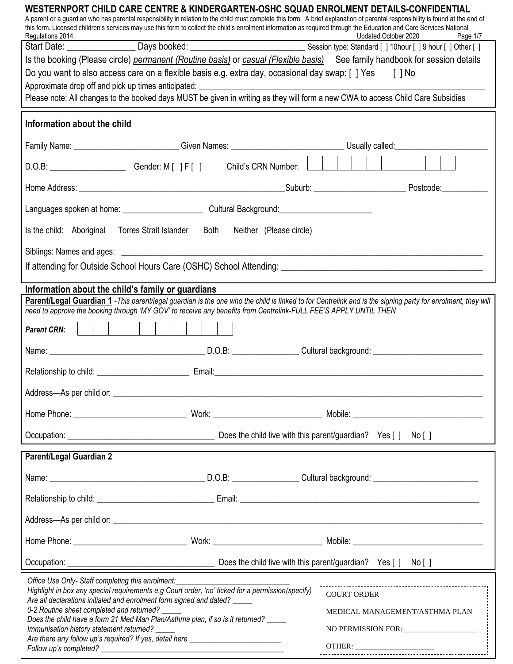| WESTERNPORT CHILD CARE CENTRE & KINDERGARTEN-OSHC SQUAD ENROLMENT DETAILS-CONFIDENTIAL                                                                                                                                                                                                                                                                                                                                                                                                                          | A parent or a guardian who has parental responsibility in relation to the child must complete this form. A brief explanation of parental responsibility is found at the end of |
|-----------------------------------------------------------------------------------------------------------------------------------------------------------------------------------------------------------------------------------------------------------------------------------------------------------------------------------------------------------------------------------------------------------------------------------------------------------------------------------------------------------------|--------------------------------------------------------------------------------------------------------------------------------------------------------------------------------|
| this form. Licensed children's services may use this form to collect the child's enrolment information as required through the Education and Care Services National<br>Regulations 2014.                                                                                                                                                                                                                                                                                                                        | Updated October 2020<br>Page 1/7                                                                                                                                               |
|                                                                                                                                                                                                                                                                                                                                                                                                                                                                                                                 | Regulations 2014. 2020 Page 1/7<br>Start Date: ____________________Days booked: ___________________________________Session type: Standard [ ] 10hour [ ] 9 hour [ ] Other [ ]  |
|                                                                                                                                                                                                                                                                                                                                                                                                                                                                                                                 | Is the booking (Please circle) permanent (Routine basis) or casual (Flexible basis) See family handbook for session details                                                    |
| Do you want to also access care on a flexible basis e.g. extra day, occasional day swap: [] Yes [] No                                                                                                                                                                                                                                                                                                                                                                                                           |                                                                                                                                                                                |
| Please note: All changes to the booked days MUST be given in writing as they will form a new CWA to access Child Care Subsidies                                                                                                                                                                                                                                                                                                                                                                                 |                                                                                                                                                                                |
|                                                                                                                                                                                                                                                                                                                                                                                                                                                                                                                 |                                                                                                                                                                                |
| Information about the child                                                                                                                                                                                                                                                                                                                                                                                                                                                                                     |                                                                                                                                                                                |
|                                                                                                                                                                                                                                                                                                                                                                                                                                                                                                                 | Family Name: ___________________________Given Names: _______________________________Usually called: ___________________________________                                        |
|                                                                                                                                                                                                                                                                                                                                                                                                                                                                                                                 |                                                                                                                                                                                |
|                                                                                                                                                                                                                                                                                                                                                                                                                                                                                                                 |                                                                                                                                                                                |
|                                                                                                                                                                                                                                                                                                                                                                                                                                                                                                                 |                                                                                                                                                                                |
| Is the child: Aboriginal Torres Strait Islander Both Neither (Please circle)                                                                                                                                                                                                                                                                                                                                                                                                                                    |                                                                                                                                                                                |
|                                                                                                                                                                                                                                                                                                                                                                                                                                                                                                                 |                                                                                                                                                                                |
|                                                                                                                                                                                                                                                                                                                                                                                                                                                                                                                 | If attending for Outside School Hours Care (OSHC) School Attending: [19] The Manuscript Content of School Attending:                                                           |
| Information about the child's family or guardians                                                                                                                                                                                                                                                                                                                                                                                                                                                               |                                                                                                                                                                                |
| need to approve the booking through 'MY GOV' to receive any benefits from Centrelink-FULL FEE'S APPLY UNTIL THEN                                                                                                                                                                                                                                                                                                                                                                                                | Parent/Legal Guardian 1 - This parent/legal guardian is the one who the child is linked to for Centrelink and is the signing party for enrolment, they will                    |
|                                                                                                                                                                                                                                                                                                                                                                                                                                                                                                                 |                                                                                                                                                                                |
| <b>Parent CRN:</b>                                                                                                                                                                                                                                                                                                                                                                                                                                                                                              |                                                                                                                                                                                |
|                                                                                                                                                                                                                                                                                                                                                                                                                                                                                                                 |                                                                                                                                                                                |
|                                                                                                                                                                                                                                                                                                                                                                                                                                                                                                                 |                                                                                                                                                                                |
|                                                                                                                                                                                                                                                                                                                                                                                                                                                                                                                 |                                                                                                                                                                                |
|                                                                                                                                                                                                                                                                                                                                                                                                                                                                                                                 |                                                                                                                                                                                |
|                                                                                                                                                                                                                                                                                                                                                                                                                                                                                                                 |                                                                                                                                                                                |
| <b>Parent/Legal Guardian 2</b>                                                                                                                                                                                                                                                                                                                                                                                                                                                                                  |                                                                                                                                                                                |
|                                                                                                                                                                                                                                                                                                                                                                                                                                                                                                                 |                                                                                                                                                                                |
|                                                                                                                                                                                                                                                                                                                                                                                                                                                                                                                 |                                                                                                                                                                                |
|                                                                                                                                                                                                                                                                                                                                                                                                                                                                                                                 |                                                                                                                                                                                |
|                                                                                                                                                                                                                                                                                                                                                                                                                                                                                                                 |                                                                                                                                                                                |
|                                                                                                                                                                                                                                                                                                                                                                                                                                                                                                                 |                                                                                                                                                                                |
| Office Use Only-Staff completing this enrolment: _____________<br>Highlight in box any special requirements e.g Court order, 'no' ticked for a permission(specify)<br>Are all declarations initialed and enrolment form signed and dated? ____<br>0-2 Routine sheet completed and returned? _<br>Does the child have a form 21 Med Man Plan/Asthma plan, if so is it returned?<br>Immunisation history statement returned?<br>Are there any follow up's required? If yes, detail here _________________________ | <b>COURT ORDER</b><br>MEDICAL MANAGEMENT/ASTHMA PLAN<br>NO PERMISSION FOR:                                                                                                     |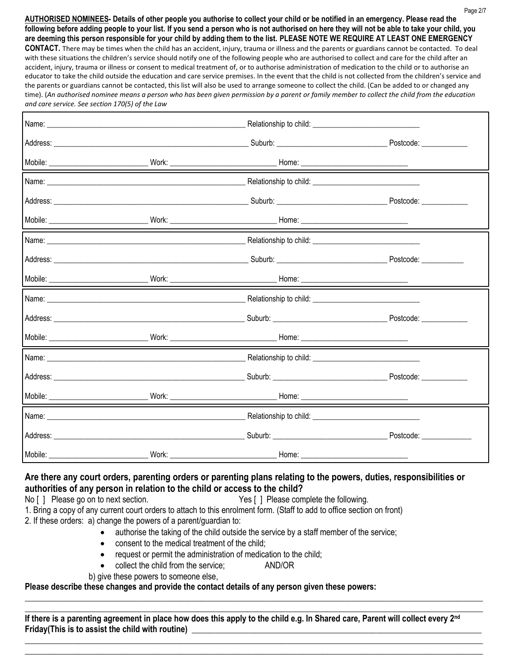**AUTHORISED NOMINEES- Details of other people you authorise to collect your child or be notified in an emergency. Please read the following before adding people to your list. If you send a person who is not authorised on here they will not be able to take your child, you are deeming this person responsible for your child by adding them to the list. PLEASE NOTE WE REQUIRE AT LEAST ONE EMERGENCY CONTACT.** There may be times when the child has an accident, injury, trauma or illness and the parents or guardians cannot be contacted. To deal with these situations the children's service should notify one of the following people who are authorised to collect and care for the child after an accident, injury, trauma or illness or consent to medical treatment of, or to authorise administration of medication to the child or to authorise an educator to take the child outside the education and care service premises. In the event that the child is not collected from the children's service and the parents or guardians cannot be contacted, this list will also be used to arrange someone to collect the child. (Can be added to or changed any time). (*An authorised nominee means a person who has been given permission by a parent or family member to collect the child from the education and care service. See section 170(5) of the Law*

|         |  |  | Postcode: ______________ |  |
|---------|--|--|--------------------------|--|
| Mobile: |  |  |                          |  |

### **Are there any court orders, parenting orders or parenting plans relating to the powers, duties, responsibilities or authorities of any person in relation to the child or access to the child?**

No [ ] Please go on to next section. Yes [ ] Please complete the following.

1. Bring a copy of any current court orders to attach to this enrolment form. (Staff to add to office section on front)

2. If these orders: a) change the powers of a parent/guardian to:

- authorise the taking of the child outside the service by a staff member of the service;
- consent to the medical treatment of the child;
- request or permit the administration of medication to the child;
	- collect the child from the service; AND/OR
- b) give these powers to someone else,

## **Please describe these changes and provide the contact details of any person given these powers:**

\_\_\_\_\_\_\_\_\_\_\_\_\_\_\_\_\_\_\_\_\_\_\_\_\_\_\_\_\_\_\_\_\_\_\_\_\_\_\_\_\_\_\_\_\_\_\_\_\_\_\_\_\_\_\_\_\_\_\_\_\_\_\_\_\_\_\_\_\_\_\_\_\_\_\_\_\_\_\_\_\_\_\_\_\_\_\_\_\_\_\_\_\_\_\_\_\_\_\_\_\_\_\_\_\_\_\_\_\_ **If there is a parenting agreement in place how does this apply to the child e.g. In Shared care, Parent will collect every 2nd Friday(This is to assist the child with routine) \_\_\_\_\_\_\_\_\_\_\_\_\_\_\_\_\_\_\_\_\_\_\_\_\_\_\_\_\_\_\_\_\_\_\_\_\_\_\_\_\_\_\_\_\_\_\_\_\_\_\_\_\_\_\_\_\_\_\_\_\_\_\_\_\_\_\_\_\_**

\_\_\_\_\_\_\_\_\_\_\_\_\_\_\_\_\_\_\_\_\_\_\_\_\_\_\_\_\_\_\_\_\_\_\_\_\_\_\_\_\_\_\_\_\_\_\_\_\_\_\_\_\_\_\_\_\_\_\_\_\_\_\_\_\_\_\_\_\_\_\_\_\_\_\_\_\_\_\_\_\_\_\_\_\_\_\_\_\_\_\_\_\_\_\_\_\_\_\_\_\_\_\_\_\_\_\_\_\_

**\_\_\_\_\_\_\_\_\_\_\_\_\_\_\_\_\_\_\_\_\_\_\_\_\_\_\_\_\_\_\_\_\_\_\_\_\_\_\_\_\_\_\_\_\_\_\_\_\_\_\_\_\_\_\_\_\_\_\_\_\_\_\_\_\_\_\_\_\_\_\_\_\_\_\_\_\_\_\_\_\_\_\_\_\_\_\_\_\_\_\_\_\_\_\_\_\_\_\_\_\_\_\_\_\_\_\_\_\_ \_\_\_\_\_\_\_\_\_\_\_\_\_\_\_\_\_\_\_\_\_\_\_\_\_\_\_\_\_\_\_\_\_\_\_\_\_\_\_\_\_\_\_\_\_\_\_\_\_\_\_\_\_\_\_\_\_\_\_\_\_\_\_\_\_\_\_\_\_\_\_\_\_\_\_\_\_\_\_\_\_\_\_\_\_\_\_\_\_\_\_\_\_\_\_\_\_\_\_\_\_\_\_\_\_\_\_\_\_**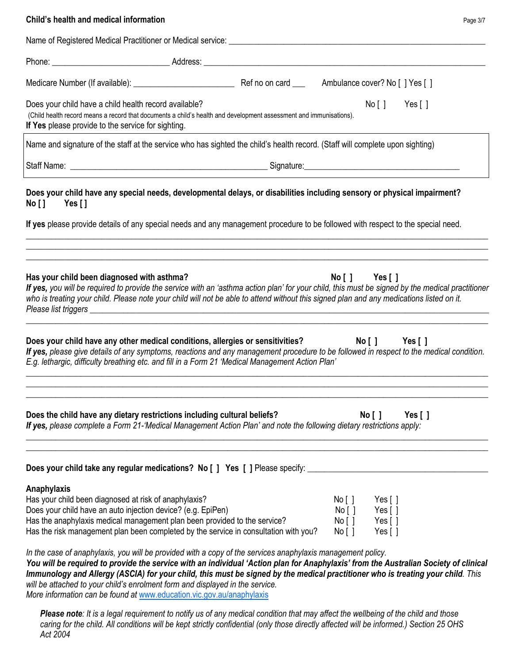| Child's health and medical information<br>Page 3/7                                                                                                                                                                                                                                                                                                                                                                                                                                                                                                                                                                                                                                                              |
|-----------------------------------------------------------------------------------------------------------------------------------------------------------------------------------------------------------------------------------------------------------------------------------------------------------------------------------------------------------------------------------------------------------------------------------------------------------------------------------------------------------------------------------------------------------------------------------------------------------------------------------------------------------------------------------------------------------------|
| Name of Registered Medical Practitioner or Medical service: _____________________                                                                                                                                                                                                                                                                                                                                                                                                                                                                                                                                                                                                                               |
|                                                                                                                                                                                                                                                                                                                                                                                                                                                                                                                                                                                                                                                                                                                 |
|                                                                                                                                                                                                                                                                                                                                                                                                                                                                                                                                                                                                                                                                                                                 |
| Does your child have a child health record available?<br>No [ ]<br>Yes [ ]<br>(Child health record means a record that documents a child's health and development assessment and immunisations).<br>If Yes please provide to the service for sighting.                                                                                                                                                                                                                                                                                                                                                                                                                                                          |
| Name and signature of the staff at the service who has sighted the child's health record. (Staff will complete upon sighting)                                                                                                                                                                                                                                                                                                                                                                                                                                                                                                                                                                                   |
|                                                                                                                                                                                                                                                                                                                                                                                                                                                                                                                                                                                                                                                                                                                 |
| Does your child have any special needs, developmental delays, or disabilities including sensory or physical impairment?<br>No [] Yes []                                                                                                                                                                                                                                                                                                                                                                                                                                                                                                                                                                         |
| If yes please provide details of any special needs and any management procedure to be followed with respect to the special need.                                                                                                                                                                                                                                                                                                                                                                                                                                                                                                                                                                                |
| Has your child been diagnosed with asthma?<br>$No [ ]$ Yes $[ ]$<br>If yes, you will be required to provide the service with an 'asthma action plan' for your child, this must be signed by the medical practitioner<br>who is treating your child. Please note your child will not be able to attend without this signed plan and any medications listed on it.                                                                                                                                                                                                                                                                                                                                                |
| Does your child have any other medical conditions, allergies or sensitivities?<br>No [ ] Yes [ ]<br>If yes, please give details of any symptoms, reactions and any management procedure to be followed in respect to the medical condition.<br>E.g. lethargic, difficulty breathing etc. and fill in a Form 21 'Medical Management Action Plan'                                                                                                                                                                                                                                                                                                                                                                 |
| Does the child have any dietary restrictions including cultural beliefs?<br>No [ ]<br>Yes $[ ]$<br>If yes, please complete a Form 21-'Medical Management Action Plan' and note the following dietary restrictions apply:                                                                                                                                                                                                                                                                                                                                                                                                                                                                                        |
| Does your child take any regular medications? No [ ] Yes [ ] Please specify:                                                                                                                                                                                                                                                                                                                                                                                                                                                                                                                                                                                                                                    |
| Anaphylaxis<br>Has your child been diagnosed at risk of anaphylaxis?<br>No [ ]<br>Yes $\lceil \; \rceil$<br>Does your child have an auto injection device? (e.g. EpiPen)<br>No [ ]<br>Yes $\lceil \ \rceil$<br>Has the anaphylaxis medical management plan been provided to the service?<br>No [ ]<br>Yes $\lceil \; \rceil$<br>Has the risk management plan been completed by the service in consultation with you?<br>Yes $\lceil \; \rceil$<br>No [ ]<br>In the case of anaphylaxis, you will be provided with a copy of the services anaphylaxis management policy.<br>You will be required to provide the service with an individual 'Action plan for Anaphylaxis' from the Australian Society of clinical |

**Immunology and Allergy (ASCIA) for your child, this must be signed by the medical practitioner who is treating your child. This** *will be attached to your child's enrolment form and displayed in the service. More information can be found at* [www.education.vic.gov.au/anaphylaxis](http://www.education.vic.gov.au/anaphylaxis)

*Please note: It is a legal requirement to notify us of any medical condition that may affect the wellbeing of the child and those caring for the child. All conditions will be kept strictly confidential (only those directly affected will be informed.) Section 25 OHS Act 2004*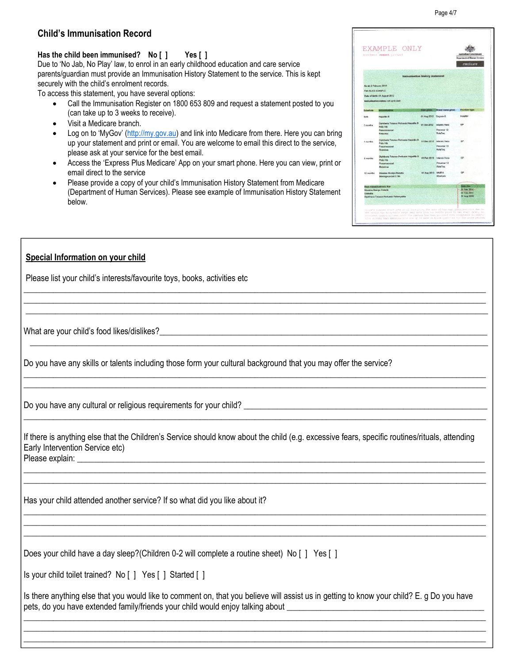### **Has the child been immunised? No [ ] Yes [ ]**

Due to 'No Jab, No Play' law, to enrol in an early childhood education and care service parents/guardian must provide an Immunisation History Statement to the service. This is kept securely with the child's enrolment records.

To access this statement, you have several options:

- Call the Immunisation Register on 1800 653 809 and request a statement posted to you (can take up to 3 weeks to receive).
- Visit a Medicare branch.
- Log on to 'MyGov' ([http://my.gov.au\)](http://my.gov.au/) and link into Medicare from there. Here you can bring up your statement and print or email. You are welcome to email this direct to the service, please ask at your service for the best email.
- Access the 'Express Plus Medicare' App on your smart phone. Here you can view, print or email direct to the service
- Please provide a copy of your child's Immunisation History Statement from Medicare (Department of Human Services). Please see example of Immunisation History Statement below.

#### **\*If Yes**, please provide the statement (see example below) along with your enrolment. **Special Information on your child**

Please list your child's interests/favourite toys, books, activities etc

What are your child's food likes/dislikes?

Do you have any skills or talents including those form your cultural background that you may offer the service?

Do you have any cultural or religious requirements for your child? \_\_\_\_\_\_\_\_\_\_\_\_\_\_\_\_\_\_\_\_\_\_\_\_\_\_\_\_\_\_\_\_\_\_\_\_\_\_\_\_\_\_\_\_\_\_\_\_\_\_\_\_\_\_\_\_\_\_

If there is anything else that the Children's Service should know about the child (e.g. excessive fears, specific routines/rituals, attending Early Intervention Service etc) Please explain: \_\_\_\_\_\_\_\_\_\_\_\_\_\_\_\_\_\_\_\_\_\_\_\_\_\_\_\_\_\_\_\_\_\_\_\_\_\_\_\_\_\_\_\_\_\_\_\_\_\_\_\_\_\_\_\_\_\_\_\_\_\_\_\_\_\_\_\_\_\_\_\_\_\_\_\_\_\_\_\_\_\_\_\_\_\_\_\_\_\_\_\_\_\_\_\_\_

\_\_\_\_\_\_\_\_\_\_\_\_\_\_\_\_\_\_\_\_\_\_\_\_\_\_\_\_\_\_\_\_\_\_\_\_\_\_\_\_\_\_\_\_\_\_\_\_\_\_\_\_\_\_\_\_\_\_\_\_\_\_\_\_\_\_\_\_\_\_\_\_\_\_\_\_\_\_\_\_\_\_\_\_\_\_\_\_\_\_\_\_\_\_\_\_\_\_\_\_\_\_\_\_\_\_\_\_\_\_ \_\_\_\_\_\_\_\_\_\_\_\_\_\_\_\_\_\_\_\_\_\_\_\_\_\_\_\_\_\_\_\_\_\_\_\_\_\_\_\_\_\_\_\_\_\_\_\_\_\_\_\_\_\_\_\_\_\_\_\_\_\_\_\_\_\_\_\_\_\_\_\_\_\_\_\_\_\_\_\_\_\_\_\_\_\_\_\_\_\_\_\_\_\_\_\_\_\_\_\_\_\_\_\_\_\_\_\_\_\_

\_\_\_\_\_\_\_\_\_\_\_\_\_\_\_\_\_\_\_\_\_\_\_\_\_\_\_\_\_\_\_\_\_\_\_\_\_\_\_\_\_\_\_\_\_\_\_\_\_\_\_\_\_\_\_\_\_\_\_\_\_\_\_\_\_\_\_\_\_\_\_\_\_\_\_\_\_\_\_\_\_\_\_\_\_\_\_\_\_\_\_\_\_\_\_\_\_\_\_\_\_\_\_\_\_\_\_\_\_\_ \_\_\_\_\_\_\_\_\_\_\_\_\_\_\_\_\_\_\_\_\_\_\_\_\_\_\_\_\_\_\_\_\_\_\_\_\_\_\_\_\_\_\_\_\_\_\_\_\_\_\_\_\_\_\_\_\_\_\_\_\_\_\_\_\_\_\_\_\_\_\_\_\_\_\_\_\_\_\_\_\_\_\_\_\_\_\_\_\_\_\_\_\_\_\_\_\_\_\_\_\_\_\_\_\_\_\_\_\_\_ \_\_\_\_\_\_\_\_\_\_\_\_\_\_\_\_\_\_\_\_\_\_\_\_\_\_\_\_\_\_\_\_\_\_\_\_\_\_\_\_\_\_\_\_\_\_\_\_\_\_\_\_\_\_\_\_\_\_\_\_\_\_\_\_\_\_\_\_\_\_\_\_\_\_\_\_\_\_\_\_\_\_\_\_\_\_\_\_\_\_\_\_\_\_\_\_\_\_\_\_\_\_\_\_\_\_\_\_\_\_

\_\_\_\_\_\_\_\_\_\_\_\_\_\_\_\_\_\_\_\_\_\_\_\_\_\_\_\_\_\_\_\_\_\_\_\_\_\_\_\_\_\_\_\_\_\_\_\_\_\_\_\_\_\_\_\_\_\_\_\_\_\_\_\_\_\_\_\_\_\_\_\_\_\_\_\_\_\_\_\_\_\_\_\_\_\_\_\_\_\_\_\_\_\_\_\_\_\_\_\_\_\_\_\_\_\_\_\_\_\_ \_\_\_\_\_\_\_\_\_\_\_\_\_\_\_\_\_\_\_\_\_\_\_\_\_\_\_\_\_\_\_\_\_\_\_\_\_\_\_\_\_\_\_\_\_\_\_\_\_\_\_\_\_\_\_\_\_\_\_\_\_\_\_\_\_\_\_\_\_\_\_\_\_\_\_\_\_\_\_\_\_\_\_\_\_\_\_\_\_\_\_\_\_\_\_\_\_\_\_\_\_\_\_\_\_\_\_\_\_\_ \_\_\_\_\_\_\_\_\_\_\_\_\_\_\_\_\_\_\_\_\_\_\_\_\_\_\_\_\_\_\_\_\_\_\_\_\_\_\_\_\_\_\_\_\_\_\_\_\_\_\_\_\_\_\_\_\_\_\_\_\_\_\_\_\_\_\_\_\_\_\_\_\_\_\_\_\_\_\_\_\_\_\_\_\_\_\_\_\_\_\_\_\_\_\_\_\_\_\_\_\_\_\_\_\_\_\_\_\_\_

 $\frac{1}{2}$  ,  $\frac{1}{2}$  ,  $\frac{1}{2}$  ,  $\frac{1}{2}$  ,  $\frac{1}{2}$  ,  $\frac{1}{2}$  ,  $\frac{1}{2}$  ,  $\frac{1}{2}$  ,  $\frac{1}{2}$  ,  $\frac{1}{2}$  ,  $\frac{1}{2}$  ,  $\frac{1}{2}$  ,  $\frac{1}{2}$  ,  $\frac{1}{2}$  ,  $\frac{1}{2}$  ,  $\frac{1}{2}$  ,  $\frac{1}{2}$  ,  $\frac{1}{2}$  ,  $\frac{1$ 

\_\_\_\_\_\_\_\_\_\_\_\_\_\_\_\_\_\_\_\_\_\_\_\_\_\_\_\_\_\_\_\_\_\_\_\_\_\_\_\_\_\_\_\_\_\_\_\_\_\_\_\_\_\_\_\_\_\_\_\_\_\_\_\_\_\_\_\_\_\_\_\_\_\_\_\_\_\_\_\_\_\_\_\_\_\_\_\_\_\_\_\_\_\_\_\_\_\_\_\_\_\_\_\_\_\_\_\_\_\_ \_\_\_\_\_\_\_\_\_\_\_\_\_\_\_\_\_\_\_\_\_\_\_\_\_\_\_\_\_\_\_\_\_\_\_\_\_\_\_\_\_\_\_\_\_\_\_\_\_\_\_\_\_\_\_\_\_\_\_\_\_\_\_\_\_\_\_\_\_\_\_\_\_\_\_\_\_\_\_\_\_\_\_\_\_\_\_\_\_\_\_\_\_\_\_\_\_\_\_\_\_\_\_\_\_\_\_\_\_\_

\_\_\_\_\_\_\_\_\_\_\_\_\_\_\_\_\_\_\_\_\_\_\_\_\_\_\_\_\_\_\_\_\_\_\_\_\_\_\_\_\_\_\_\_\_\_\_\_\_\_\_\_\_\_\_\_\_\_\_\_\_\_\_\_\_\_\_\_\_\_\_\_\_\_\_\_\_\_\_\_\_\_\_\_\_\_\_\_\_\_\_\_\_\_\_\_\_\_\_\_\_\_\_\_\_\_\_\_\_\_

Has your child attended another service? If so what did you like about it?

Does your child have a day sleep?(Children 0-2 will complete a routine sheet) No [ ] Yes [ ]

Is your child toilet trained? No [ ] Yes [ ] Started [ ]

Is there anything else that you would like to comment on, that you believe will assist us in getting to know your child? E. g Do you have pets, do you have extended family/friends your child would enjoy talking about

\_\_\_\_\_\_\_\_\_\_\_\_\_\_\_\_\_\_\_\_\_\_\_\_\_\_\_\_\_\_\_\_\_\_\_\_\_\_\_\_\_\_\_\_\_\_\_\_\_\_\_\_\_\_\_\_\_\_\_\_\_\_\_\_\_\_\_\_\_\_\_\_\_\_\_\_\_\_\_\_\_\_\_\_\_\_\_\_\_\_\_\_\_\_\_\_\_\_\_\_\_\_\_\_\_\_\_\_\_\_ \_\_\_\_\_\_\_\_\_\_\_\_\_\_\_\_\_\_\_\_\_\_\_\_\_\_\_\_\_\_\_\_\_\_\_\_\_\_\_\_\_\_\_\_\_\_\_\_\_\_\_\_\_\_\_\_\_\_\_\_\_\_\_\_\_\_\_\_\_\_\_\_\_\_\_\_\_\_\_\_\_\_\_\_\_\_\_\_\_\_\_\_\_\_\_\_\_\_\_\_\_\_\_\_\_\_\_\_\_\_ \_\_\_\_\_\_\_\_\_\_\_\_\_\_\_\_\_\_\_\_\_\_\_\_\_\_\_\_\_\_\_\_\_\_\_\_\_\_\_\_\_\_\_\_\_\_\_\_\_\_\_\_\_\_\_\_\_\_\_\_\_\_\_\_\_\_\_\_\_\_\_\_\_\_\_\_\_\_\_\_\_\_\_\_\_\_\_\_\_\_\_\_\_\_\_\_\_\_\_\_\_\_\_\_\_\_\_\_\_\_

| EXAMPLE ONLY<br>Enrolment cannot proceed | Australian Government<br>Department of Human Services<br>medicare |                       |                           |               |
|------------------------------------------|-------------------------------------------------------------------|-----------------------|---------------------------|---------------|
|                                          | Immunisation history statement                                    |                       |                           |               |
| As at: 2 February 2016                   |                                                                   |                       |                           |               |
| For: ALICE EXAMPLE                       |                                                                   |                       |                           |               |
|                                          | Date of birth: 01 August 2012                                     |                       |                           |               |
|                                          | limmunisation status: not up to date                              |                       |                           |               |
| <b>Bohedule</b>                          |                                                                   | Dale given            | <b>Brand name given</b>   | Provider type |
| Birth:                                   | Hepatitis B                                                       | 01 Aug 2012 Engerts-B |                           | Hospital      |
| 2 months                                 | Diphtheria Tetanus Pertussis Hepatria B<br>Polio Hib              | 01 Oct 2012           | Infancix Hexa             | GP            |
|                                          | Presimpoontal<br><b>Rotavinas</b>                                 |                       | Prevenar 13<br>RotaTeg    |               |
| 4 months                                 | Diphtheria Tetanus Pertussis Hepalitis B<br>Polio Hib             | 01 Dec 2012           | <b>Infanziv Hexa</b>      | <b>GP</b>     |
|                                          | Preumococcal                                                      |                       | Prevener 13               |               |
|                                          | Rolavirue                                                         |                       | RotaTon                   |               |
| 6 months                                 | Diphtheria Totanus Portusais Hepatitis B.<br>Polio Hib            |                       | 01 Feb 2013 Infanrix Hexa | GP            |
|                                          | Pneumococcal                                                      |                       | Prevenar 13               |               |
| Rotevirus                                |                                                                   |                       | RoteTeq                   |               |
| 12 months                                | Measles Mumps Rubelts                                             | 01 Aug 2013 MMR II    |                           | CIP           |
|                                          | Meninggogggal C Hib                                               |                       | Menitodx                  |               |
|                                          | <b>Next immunisation's due</b>                                    |                       |                           | Date due      |
|                                          | Measles Murros Rubella                                            |                       |                           | 01 Feb 2014   |
| Varicella                                |                                                                   |                       |                           | 01 Feb 2014   |
|                                          | Diohtheria Tetanus Pertuasis Pollomyelitis                        |                       |                           | 01 Aug 2016   |
|                                          |                                                                   |                       |                           |               |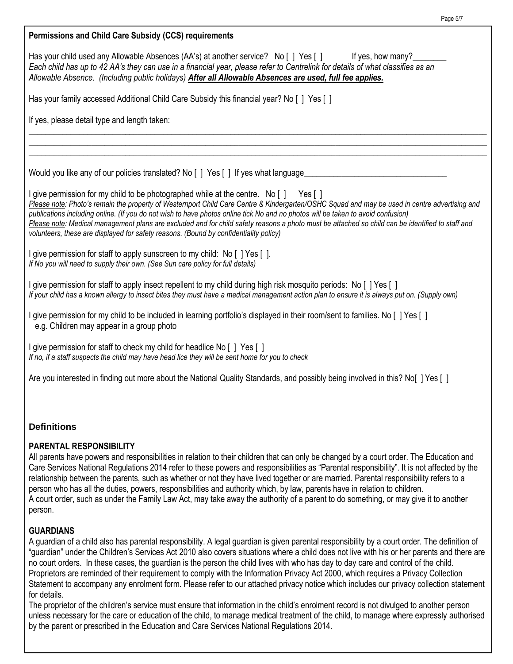| Permissions and Child Care Subsidy (CCS) requirements                                                                                                                                                                                                                                                                                                                                                                                                                                                                                                                                                                                                                                                                                            |
|--------------------------------------------------------------------------------------------------------------------------------------------------------------------------------------------------------------------------------------------------------------------------------------------------------------------------------------------------------------------------------------------------------------------------------------------------------------------------------------------------------------------------------------------------------------------------------------------------------------------------------------------------------------------------------------------------------------------------------------------------|
| Has your child used any Allowable Absences (AA's) at another service? No [ ] Yes [ ] If yes, how many?<br>Each child has up to 42 AA's they can use in a financial year, please refer to Centrelink for details of what classifies as an<br>Allowable Absence. (Including public holidays) After all Allowable Absences are used, full fee applies.                                                                                                                                                                                                                                                                                                                                                                                              |
| Has your family accessed Additional Child Care Subsidy this financial year? No [ ] Yes [ ]                                                                                                                                                                                                                                                                                                                                                                                                                                                                                                                                                                                                                                                       |
| If yes, please detail type and length taken:                                                                                                                                                                                                                                                                                                                                                                                                                                                                                                                                                                                                                                                                                                     |
|                                                                                                                                                                                                                                                                                                                                                                                                                                                                                                                                                                                                                                                                                                                                                  |
| Would you like any of our policies translated? No [ ] Yes [ ] If yes what language                                                                                                                                                                                                                                                                                                                                                                                                                                                                                                                                                                                                                                                               |
| I give permission for my child to be photographed while at the centre. No [ ] Yes [ ]<br>Please note: Photo's remain the property of Westernport Child Care Centre & Kindergarten/OSHC Squad and may be used in centre advertising and<br>publications including online. (If you do not wish to have photos online tick No and no photos will be taken to avoid confusion)<br>Please note: Medical management plans are excluded and for child safety reasons a photo must be attached so child can be identified to staff and<br>volunteers, these are displayed for safety reasons. (Bound by confidentiality policy)                                                                                                                          |
| I give permission for staff to apply sunscreen to my child: No [] Yes [].<br>If No you will need to supply their own. (See Sun care policy for full details)                                                                                                                                                                                                                                                                                                                                                                                                                                                                                                                                                                                     |
| I give permission for staff to apply insect repellent to my child during high risk mosquito periods: No [] Yes []<br>If your child has a known allergy to insect bites they must have a medical management action plan to ensure it is always put on. (Supply own)                                                                                                                                                                                                                                                                                                                                                                                                                                                                               |
| I give permission for my child to be included in learning portfolio's displayed in their room/sent to families. No [] Yes []<br>e.g. Children may appear in a group photo                                                                                                                                                                                                                                                                                                                                                                                                                                                                                                                                                                        |
| I give permission for staff to check my child for headlice No [ ] Yes [ ]<br>If no, if a staff suspects the child may have head lice they will be sent home for you to check                                                                                                                                                                                                                                                                                                                                                                                                                                                                                                                                                                     |
| Are you interested in finding out more about the National Quality Standards, and possibly being involved in this? No[] Yes []                                                                                                                                                                                                                                                                                                                                                                                                                                                                                                                                                                                                                    |
|                                                                                                                                                                                                                                                                                                                                                                                                                                                                                                                                                                                                                                                                                                                                                  |
| <b>Definitions</b>                                                                                                                                                                                                                                                                                                                                                                                                                                                                                                                                                                                                                                                                                                                               |
| <b>PARENTAL RESPONSIBILITY</b><br>All parents have powers and responsibilities in relation to their children that can only be changed by a court order. The Education and<br>Care Services National Regulations 2014 refer to these powers and responsibilities as "Parental responsibility". It is not affected by the<br>relationship between the parents, such as whether or not they have lived together or are married. Parental responsibility refers to a<br>person who has all the duties, powers, responsibilities and authority which, by law, parents have in relation to children.<br>A court order, such as under the Family Law Act, may take away the authority of a parent to do something, or may give it to another<br>person. |

Page 5/7

### **GUARDIANS**

A guardian of a child also has parental responsibility. A legal guardian is given parental responsibility by a court order. The definition of "guardian" under the Children's Services Act 2010 also covers situations where a child does not live with his or her parents and there are no court orders. In these cases, the guardian is the person the child lives with who has day to day care and control of the child. Proprietors are reminded of their requirement to comply with the Information Privacy Act 2000, which requires a Privacy Collection Statement to accompany any enrolment form. Please refer to our attached privacy notice which includes our privacy collection statement for details.

The proprietor of the children's service must ensure that information in the child's enrolment record is not divulged to another person unless necessary for the care or education of the child, to manage medical treatment of the child, to manage where expressly authorised by the parent or prescribed in the Education and Care Services National Regulations 2014.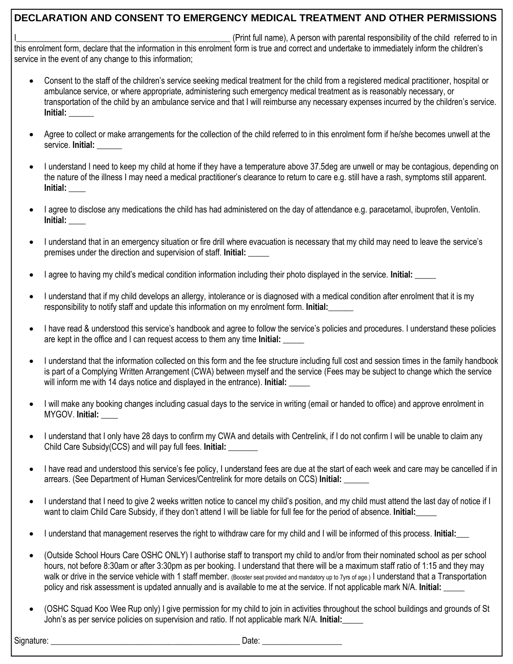## **DECLARATION AND CONSENT TO EMERGENCY MEDICAL TREATMENT AND OTHER PERMISSIONS**

(Print full name), A person with parental responsibility of the child referred to in this enrolment form, declare that the information in this enrolment form is true and correct and undertake to immediately inform the children's service in the event of any change to this information;

- Consent to the staff of the children's service seeking medical treatment for the child from a registered medical practitioner, hospital or ambulance service, or where appropriate, administering such emergency medical treatment as is reasonably necessary, or transportation of the child by an ambulance service and that I will reimburse any necessary expenses incurred by the children's service. **Initial:** \_\_\_\_\_\_
- Agree to collect or make arrangements for the collection of the child referred to in this enrolment form if he/she becomes unwell at the service. **Initial:**
- I understand I need to keep my child at home if they have a temperature above 37.5deg are unwell or may be contagious, depending on the nature of the illness I may need a medical practitioner's clearance to return to care e.g. still have a rash, symptoms still apparent. **Initial: \_\_\_\_**
- I agree to disclose any medications the child has had administered on the day of attendance e.g. paracetamol, ibuprofen, Ventolin. **Initial: \_\_\_\_**
- I understand that in an emergency situation or fire drill where evacuation is necessary that my child may need to leave the service's premises under the direction and supervision of staff. **Initial:** \_\_\_\_\_
- I agree to having my child's medical condition information including their photo displayed in the service. **Initial:** \_\_\_\_\_
- I understand that if my child develops an allergy, intolerance or is diagnosed with a medical condition after enrolment that it is my responsibility to notify staff and update this information on my enrolment form. Initial:
- I have read & understood this service's handbook and agree to follow the service's policies and procedures. I understand these policies are kept in the office and I can request access to them any time **Initial:** \_\_\_\_\_
- I understand that the information collected on this form and the fee structure including full cost and session times in the family handbook is part of a Complying Written Arrangement (CWA) between myself and the service (Fees may be subject to change which the service will inform me with 14 days notice and displayed in the entrance). **Initial:**
- I will make any booking changes including casual days to the service in writing (email or handed to office) and approve enrolment in MYGOV. **Initial:** \_\_\_\_
- I understand that I only have 28 days to confirm my CWA and details with Centrelink, if I do not confirm I will be unable to claim any Child Care Subsidy(CCS) and will pay full fees. **Initial: \_\_\_\_\_\_\_**
- I have read and understood this service's fee policy, I understand fees are due at the start of each week and care may be cancelled if in arrears. (See Department of Human Services/Centrelink for more details on CCS) **Initial:** \_\_\_\_\_\_
- I understand that I need to give 2 weeks written notice to cancel my child's position, and my child must attend the last day of notice if I want to claim Child Care Subsidy, if they don't attend I will be liable for full fee for the period of absence. **Initial:**\_\_\_\_\_
- I understand that management reserves the right to withdraw care for my child and I will be informed of this process. **Initial:\_\_\_**
- (Outside School Hours Care OSHC ONLY) I authorise staff to transport my child to and/or from their nominated school as per school hours, not before 8:30am or after 3:30pm as per booking. I understand that there will be a maximum staff ratio of 1:15 and they may walk or drive in the service vehicle with 1 staff member. (Booster seat provided and mandatory up to 7yrs of age.) I understand that a Transportation policy and risk assessment is updated annually and is available to me at the service. If not applicable mark N/A. **Initial:** \_\_\_\_\_
- (OSHC Squad Koo Wee Rup only) I give permission for my child to join in activities throughout the school buildings and grounds of St John's as per service policies on supervision and ratio. If not applicable mark N/A. **Initial:\_\_\_\_\_**